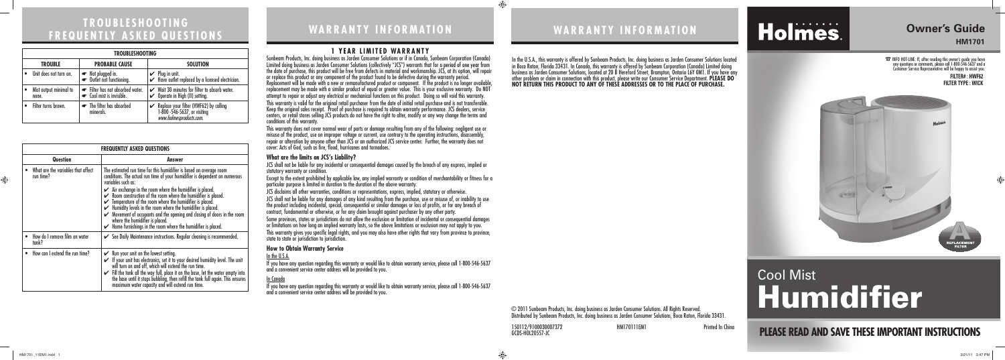150112/9100030007372 HM170111EM1 Printed In China GCDS-HOL20557-JC



⊕

# **WARRANTY INFORMATION TROUBLESHOOTING FREQUENTLY ASKED QUESTIONS WARRANTY INFORMATION**

© 2011 Sunbeam Products, Inc. doing business as Jarden Consumer Solutions. All Rights Reserved. Distributed by Sunbeam Products, Inc. doing business as Jarden Consumer Solutions, Boca Raton, Florida 33431.

In the U.S.A., this warranty is offered by Sunbeam Products, Inc. doing business as Jarden Consumer Solutions located in Boca Raton, Florida 33431. In Canada, this warranty is offered by Sunbeam Corporation (Canada) Limited doing business as Jarden Consumer Solutions, located at 20 B Hereford Street, Brampton, Ontario L6Y 0M1. If you have any other problem or claim in connection with this product, please write our Consumer Service Department. **PLEASE DO NOT RETURN THIS PRODUCT TO ANY OF THESE ADDRESSES OR TO THE PLACE OF PURCHASE.** 

۲

Sunbeam Products, Inc. doing business as Jarden Consumer Solutions or if in Canada, Sunbeam Corporation (Canada) Limited doing business as Jarden Consumer Solutions (collectively "JCS") warrants that for a period of one year from the date of purchase, this product will be free from defects in material and workmanship. JCS, at its option, will repair or replace this product or any component of the product found to be defective during the warranty period. Replacement will be made with a new or remanufactured product or component. If the product is no longer available, replacement may be made with a similar product of equal or greater value. This is your exclusive warranty. Do NOT attempt to repair or adjust any electrical or mechanical functions on this product. Doing so will void this warranty. This warranty is valid for the original retail purchaser from the date of initial retail purchase and is not transferable. Keep the original sales receipt. Proof of purchase is required to obtain warranty performance. JCS dealers, service centers, or retail stores selling JCS products do not have the right to alter, modify or any way change the terms and conditions of this warranty.

This warranty does not cover normal wear of parts or damage resulting from any of the following: negligent use or misuse of the product, use on improper voltage or current, use contrary to the operating instructions, disassembly, repair or alteration by anyone other than JCS or an authorized JCS service center. Further, the warranty does not cover: Acts of God, such as fire, flood, hurricanes and tornadoes.

#### **What are the limits on JCS's Liability?**

JCS shall not be liable for any incidental or consequential damages caused by the breach of any express, implied or statutory warranty or condition.

Except to the extent prohibited by applicable law, any implied warranty or condition of merchantability or fitness for a particular purpose is limited in duration to the duration of the above warranty.

JCS disclaims all other warranties, conditions or representations, express, implied, statutory or otherwise.

JCS shall not be liable for any damages of any kind resulting from the purchase, use or misuse of, or inability to use the product including incidental, special, consequential or similar damages or loss of profits, or for any breach of contract, fundamental or otherwise, or for any claim brought against purchaser by any other party.

Some provinces, states or jurisdictions do not allow the exclusion or limitation of incidental or consequential damages or limitations on how long an implied warranty lasts, so the above limitations or exclusion may not apply to you.

This warranty gives you specific legal rights, and you may also have other rights that vary from province to province, state to state or jurisdiction to jurisdiction.

#### **How to Obtain Warranty Service**

In the U.S.A.

If you have any question regarding this warranty or would like to obtain warranty service, please call 1-800-546-5637 and a convenient service center address will be provided to you.

#### In Canada

If you have any question regarding this warranty or would like to obtain warranty service, please call 1-800-546-5637 and a convenient service center address will be provided to you.

| <b>FREQUENTLY ASKED QUESTIONS</b>               |                                                                                                                                                                                                                                                                                                                                                                                                                                                                                                                                                                                                                                                                               |  |  |
|-------------------------------------------------|-------------------------------------------------------------------------------------------------------------------------------------------------------------------------------------------------------------------------------------------------------------------------------------------------------------------------------------------------------------------------------------------------------------------------------------------------------------------------------------------------------------------------------------------------------------------------------------------------------------------------------------------------------------------------------|--|--|
| Question                                        | Answer                                                                                                                                                                                                                                                                                                                                                                                                                                                                                                                                                                                                                                                                        |  |  |
| What are the variables that affect<br>run time? | The estimated run time for this humidifier is based on average room<br>conditions. The actual run time of your humidifier is dependent on numerous<br>variables such as:<br>$\checkmark$ Air exchange in the room where the humidifier is placed.<br>$\checkmark$ Room construction of the room where the humidifier is placed.<br>$\checkmark$ Temperature of the room where the humidifier is placed.<br>$\checkmark$ Humidity levels in the room where the humidifier is placed.<br>Movement of occupants and the opening and closing of doors in the room<br>where the humidifier is placed.<br>$\checkmark$ Home furnishings in the room where the humidifier is placed. |  |  |
| How do I remove film on water<br>tank?          | See Daily Maintenance instructions. Regular cleaning is recommended.                                                                                                                                                                                                                                                                                                                                                                                                                                                                                                                                                                                                          |  |  |
| How can I extend the run time?                  | $\mathcal V$ Run your unit on the lowest setting.<br>If your unit has electronics, set it to your desired humidity level. The unit<br>will turn on and off, which will extend the run time.<br>Fill the tank all the way full, place it on the base, let the water empty into<br>the base until it stops bubbling, then refill the tank full again. This ensures maximum water capacity and will extend run time.                                                                                                                                                                                                                                                             |  |  |

#### **1 YEAR LIMITED WARRANTY**

| <b>TROUBLESHOOTING</b> |                                 |                                                             |                                                                                                           |
|------------------------|---------------------------------|-------------------------------------------------------------|-----------------------------------------------------------------------------------------------------------|
|                        | <b>TROUBLE</b>                  | <b>PROBABLE CAUSE</b>                                       | <b>SOLUTION</b>                                                                                           |
|                        | Unit does not turn on.          | ► Not plugged in.<br>► Outlet not functioning.              | $\mathcal V$ Plug in unit.<br>Have outlet replaced by a licensed electrician.                             |
|                        | Mist output minimal to<br>none. | Filter has not absorbed water.<br>• Cool mist is invisible. | Wait 30 minutes for filter to absorb water.<br>$\checkmark$ Operate in High (II) setting.                 |
|                        | Filter turns brown.             | The filter has absorbed<br>minerals.                        | Replace your filter (HWF62) by calling<br>1-800 -546-5637, or visiting<br><i>www.holmesproducts.com</i> . |

### **Owner's Guide HM1701**

☎ INFO HOT-LINE: If, after reading this owner's guide you have any questions or comments, please call 1-800-546-5637 and a Customer Service Representative will be happy to assist you.

# Cool Mist **Humidifier**

Holmes.

**FILTER# : HWF62 FILTER TYPE : WICK**

⊕



# **PLEASE READ AND SAVE THESE IMPORTANT INSTRUCTIONS**